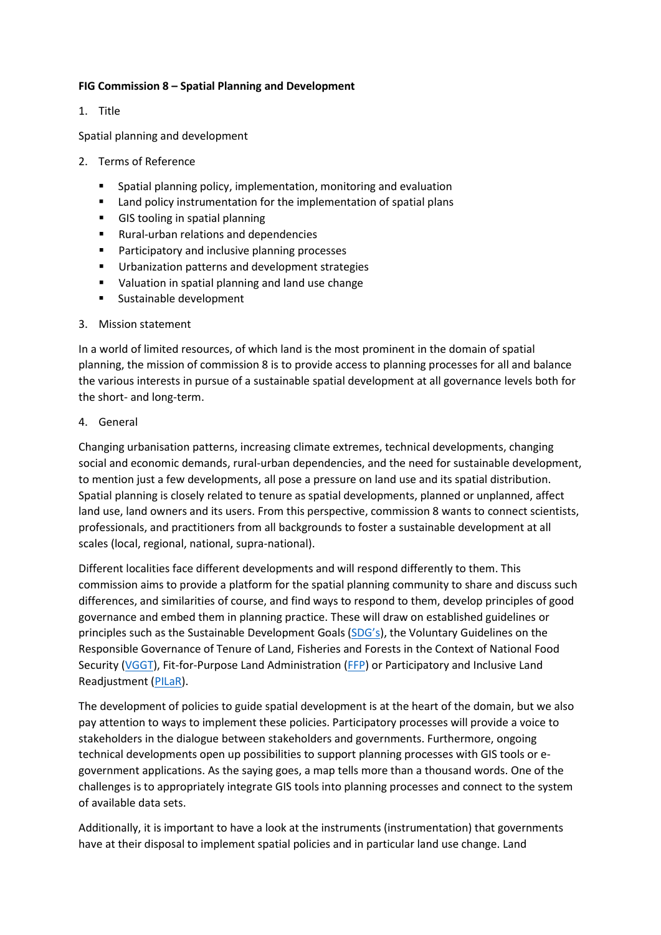### **FIG Commission 8 – Spatial Planning and Development**

1. Title

Spatial planning and development

- 2. Terms of Reference
	- Spatial planning policy, implementation, monitoring and evaluation
	- Land policy instrumentation for the implementation of spatial plans
	- GIS tooling in spatial planning
	- Rural-urban relations and dependencies
	- Participatory and inclusive planning processes
	- Urbanization patterns and development strategies
	- Valuation in spatial planning and land use change
	- Sustainable development

### 3. Mission statement

In a world of limited resources, of which land is the most prominent in the domain of spatial planning, the mission of commission 8 is to provide access to planning processes for all and balance the various interests in pursue of a sustainable spatial development at all governance levels both for the short- and long-term.

### 4. General

Changing urbanisation patterns, increasing climate extremes, technical developments, changing social and economic demands, rural-urban dependencies, and the need for sustainable development, to mention just a few developments, all pose a pressure on land use and its spatial distribution. Spatial planning is closely related to tenure as spatial developments, planned or unplanned, affect land use, land owners and its users. From this perspective, commission 8 wants to connect scientists, professionals, and practitioners from all backgrounds to foster a sustainable development at all scales (local, regional, national, supra-national).

Different localities face different developments and will respond differently to them. This commission aims to provide a platform for the spatial planning community to share and discuss such differences, and similarities of course, and find ways to respond to them, develop principles of good governance and embed them in planning practice. These will draw on established guidelines or principles such as the Sustainable Development Goals ([SDG's](https://sustainabledevelopment.un.org/?menu=1300)), the Voluntary Guidelines on the Responsible Governance of Tenure of Land, Fisheries and Forests in the Context of National Food Security [\(VGGT\)](http://www.fao.org/tenure/voluntary-guidelines/en/), Fit-for-Purpose Land Administration [\(FFP\)](https://gltn.net/download/fit-for-purpose-land-administration-guiding-principles-for-country-implementation/) or Participatory and Inclusive Land Readjustment [\(PILaR\)](http://mirror.gltn.net/index.php/land-tools/gltn-land-tools/participatory-and-inclusive-land-readjustment-pilar).

The development of policies to guide spatial development is at the heart of the domain, but we also pay attention to ways to implement these policies. Participatory processes will provide a voice to stakeholders in the dialogue between stakeholders and governments. Furthermore, ongoing technical developments open up possibilities to support planning processes with GIS tools or egovernment applications. As the saying goes, a map tells more than a thousand words. One of the challenges is to appropriately integrate GIS tools into planning processes and connect to the system of available data sets.

Additionally, it is important to have a look at the instruments (instrumentation) that governments have at their disposal to implement spatial policies and in particular land use change. Land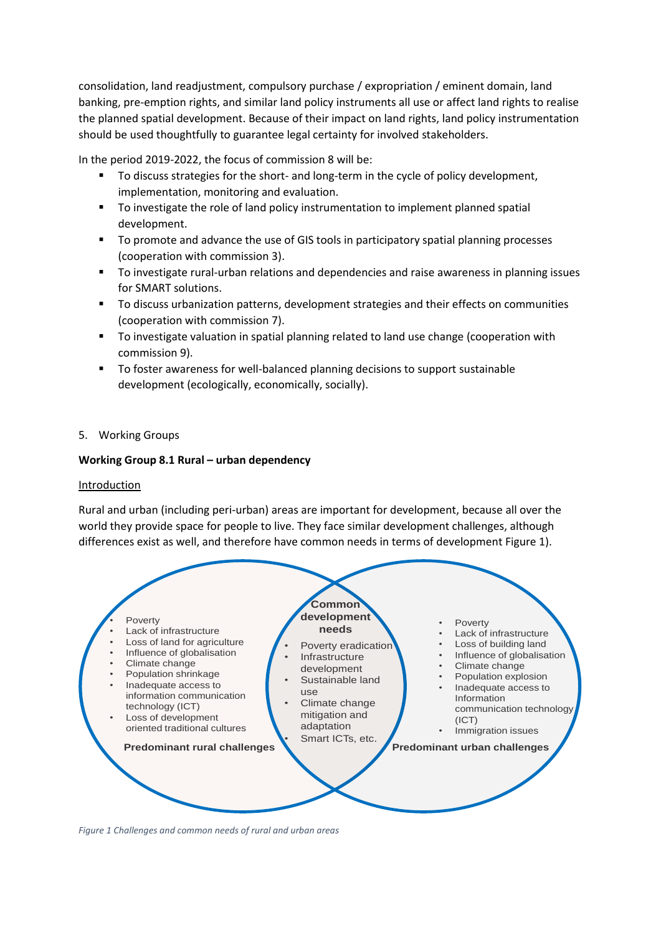consolidation, land readjustment, compulsory purchase / expropriation / eminent domain, land banking, pre-emption rights, and similar land policy instruments all use or affect land rights to realise the planned spatial development. Because of their impact on land rights, land policy instrumentation should be used thoughtfully to guarantee legal certainty for involved stakeholders.

In the period 2019-2022, the focus of commission 8 will be:

- To discuss strategies for the short- and long-term in the cycle of policy development, implementation, monitoring and evaluation.
- To investigate the role of land policy instrumentation to implement planned spatial development.
- To promote and advance the use of GIS tools in participatory spatial planning processes (cooperation with commission 3).
- To investigate rural-urban relations and dependencies and raise awareness in planning issues for SMART solutions.
- To discuss urbanization patterns, development strategies and their effects on communities (cooperation with commission 7).
- To investigate valuation in spatial planning related to land use change (cooperation with commission 9).
- To foster awareness for well-balanced planning decisions to support sustainable development (ecologically, economically, socially).
- 5. Working Groups

### **Working Group 8.1 Rural – urban dependency**

### Introduction

Rural and urban (including peri-urban) areas are important for development, because all over the world they provide space for people to live. They face similar development challenges, although differences exist as well, and therefore have common needs in terms of development [Figure 1\)](#page-1-0).



<span id="page-1-0"></span>*Figure 1 Challenges and common needs of rural and urban areas*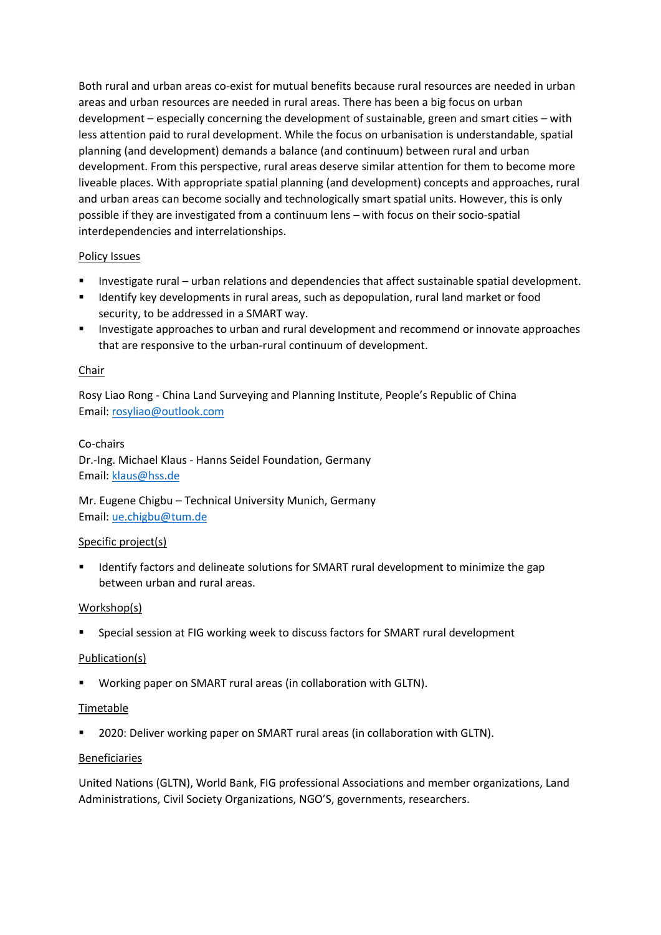Both rural and urban areas co-exist for mutual benefits because rural resources are needed in urban areas and urban resources are needed in rural areas. There has been a big focus on urban development – especially concerning the development of sustainable, green and smart cities – with less attention paid to rural development. While the focus on urbanisation is understandable, spatial planning (and development) demands a balance (and continuum) between rural and urban development. From this perspective, rural areas deserve similar attention for them to become more liveable places. With appropriate spatial planning (and development) concepts and approaches, rural and urban areas can become socially and technologically smart spatial units. However, this is only possible if they are investigated from a continuum lens – with focus on their socio-spatial interdependencies and interrelationships.

### Policy Issues

- Investigate rural urban relations and dependencies that affect sustainable spatial development.
- Identify key developments in rural areas, such as depopulation, rural land market or food security, to be addressed in a SMART way.
- Investigate approaches to urban and rural development and recommend or innovate approaches that are responsive to the urban-rural continuum of development.

### Chair

Rosy Liao Rong - China Land Surveying and Planning Institute, People's Republic of China Email: [rosyliao@outlook.com](mailto:rosyliao@outlook.com)

### Co-chairs

Dr.-Ing. Michael Klaus - Hanns Seidel Foundation, Germany Email: [klaus@hss.de](mailto:klaus@hss.de)

Mr. Eugene Chigbu – Technical University Munich, Germany Email: [ue.chigbu@tum.de](mailto:ue.chigbu@tum.de)

### Specific project(s)

Identify factors and delineate solutions for SMART rural development to minimize the gap between urban and rural areas.

## Workshop(s)

Special session at FIG working week to discuss factors for SMART rural development

### Publication(s)

Working paper on SMART rural areas (in collaboration with GLTN).

### Timetable

2020: Deliver working paper on SMART rural areas (in collaboration with GLTN).

### Beneficiaries

United Nations (GLTN), World Bank, FIG professional Associations and member organizations, Land Administrations, Civil Society Organizations, NGO'S, governments, researchers.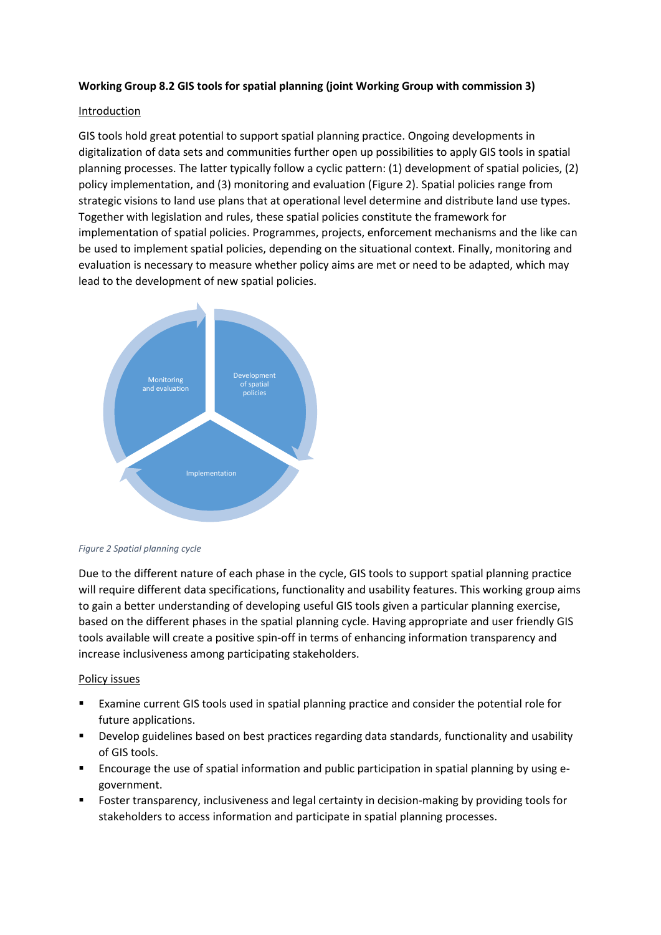### **Working Group 8.2 GIS tools for spatial planning (joint Working Group with commission 3)**

### Introduction

GIS tools hold great potential to support spatial planning practice. Ongoing developments in digitalization of data sets and communities further open up possibilities to apply GIS tools in spatial planning processes. The latter typically follow a cyclic pattern: (1) development of spatial policies, (2) policy implementation, and (3) monitoring and evaluation [\(Figure 2\)](#page-3-0). Spatial policies range from strategic visions to land use plans that at operational level determine and distribute land use types. Together with legislation and rules, these spatial policies constitute the framework for implementation of spatial policies. Programmes, projects, enforcement mechanisms and the like can be used to implement spatial policies, depending on the situational context. Finally, monitoring and evaluation is necessary to measure whether policy aims are met or need to be adapted, which may lead to the development of new spatial policies.



#### <span id="page-3-0"></span>*Figure 2 Spatial planning cycle*

Due to the different nature of each phase in the cycle, GIS tools to support spatial planning practice will require different data specifications, functionality and usability features. This working group aims to gain a better understanding of developing useful GIS tools given a particular planning exercise, based on the different phases in the spatial planning cycle. Having appropriate and user friendly GIS tools available will create a positive spin-off in terms of enhancing information transparency and increase inclusiveness among participating stakeholders.

### Policy issues

- Examine current GIS tools used in spatial planning practice and consider the potential role for future applications.
- Develop guidelines based on best practices regarding data standards, functionality and usability of GIS tools.
- Encourage the use of spatial information and public participation in spatial planning by using egovernment.
- Foster transparency, inclusiveness and legal certainty in decision-making by providing tools for stakeholders to access information and participate in spatial planning processes.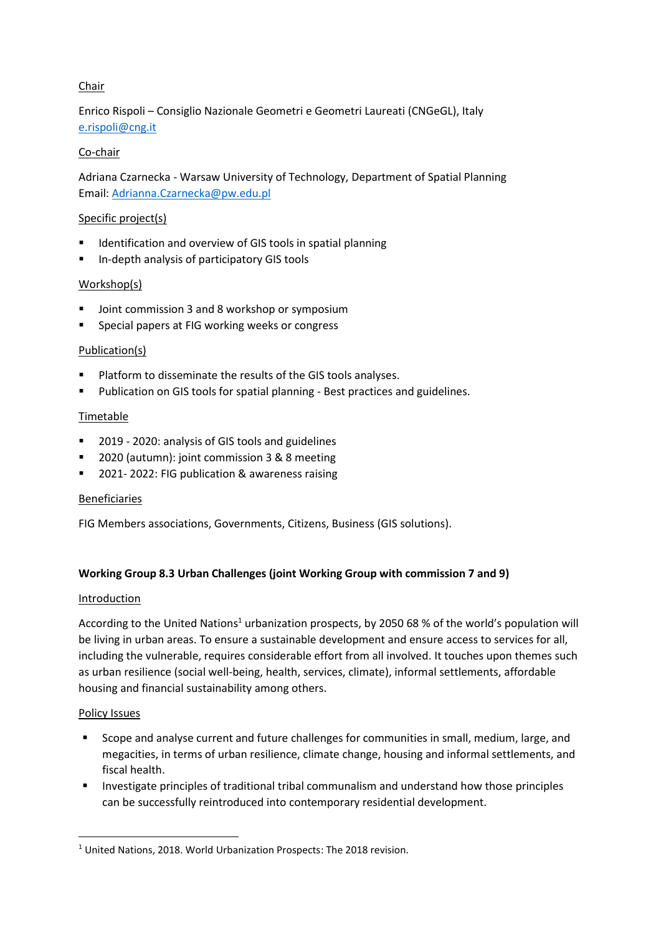# Chair

Enrico Rispoli – Consiglio Nazionale Geometri e Geometri Laureati (CNGeGL), Italy [e.rispoli@cng.it](mailto:e.rispoli@cng.it)

## Co-chair

Adriana Czarnecka - Warsaw University of Technology, Department of Spatial Planning Email: [Adrianna.Czarnecka@pw.edu.pl](mailto:Adrianna.Czarnecka@pw.edu.pl)

### Specific project(s)

- Identification and overview of GIS tools in spatial planning
- In-depth analysis of participatory GIS tools

## Workshop(s)

- Joint commission 3 and 8 workshop or symposium
- Special papers at FIG working weeks or congress

### Publication(s)

- Platform to disseminate the results of the GIS tools analyses.
- Publication on GIS tools for spatial planning Best practices and guidelines.

## Timetable

- 2019 2020: analysis of GIS tools and guidelines
- 2020 (autumn): joint commission 3 & 8 meeting
- 2021- 2022: FIG publication & awareness raising

## Beneficiaries

FIG Members associations, Governments, Citizens, Business (GIS solutions).

## **Working Group 8.3 Urban Challenges (joint Working Group with commission 7 and 9)**

### **Introduction**

According to the United Nations<sup>1</sup> urbanization prospects, by 2050 68 % of the world's population will be living in urban areas. To ensure a sustainable development and ensure access to services for all, including the vulnerable, requires considerable effort from all involved. It touches upon themes such as urban resilience (social well-being, health, services, climate), informal settlements, affordable housing and financial sustainability among others.

### Policy Issues

1

- Scope and analyse current and future challenges for communities in small, medium, large, and megacities, in terms of urban resilience, climate change, housing and informal settlements, and fiscal health.
- Investigate principles of traditional tribal communalism and understand how those principles can be successfully reintroduced into contemporary residential development.

<sup>&</sup>lt;sup>1</sup> United Nations, 2018. World Urbanization Prospects: The 2018 revision.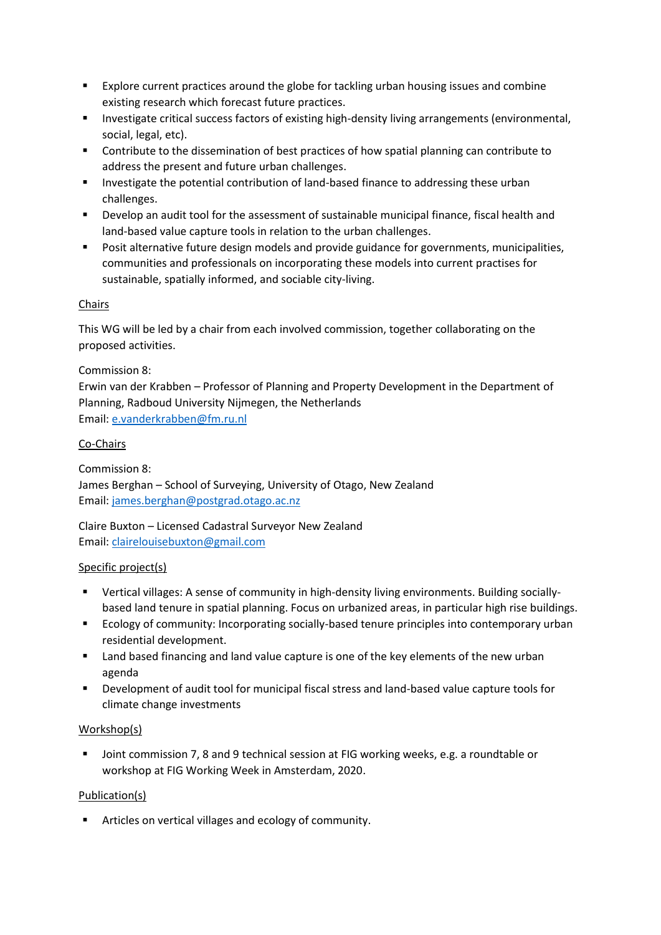- Explore current practices around the globe for tackling urban housing issues and combine existing research which forecast future practices.
- Investigate critical success factors of existing high-density living arrangements (environmental, social, legal, etc).
- Contribute to the dissemination of best practices of how spatial planning can contribute to address the present and future urban challenges.
- **■** Investigate the potential contribution of land-based finance to addressing these urban challenges.
- Develop an audit tool for the assessment of sustainable municipal finance, fiscal health and land-based value capture tools in relation to the urban challenges.
- Posit alternative future design models and provide guidance for governments, municipalities, communities and professionals on incorporating these models into current practises for sustainable, spatially informed, and sociable city-living.

# Chairs

This WG will be led by a chair from each involved commission, together collaborating on the proposed activities.

## Commission 8:

Erwin van der Krabben – Professor of Planning and Property Development in the Department of Planning, Radboud University Nijmegen, the Netherlands Email: [e.vanderkrabben@fm.ru.nl](mailto:e.vanderkrabben@fm.ru.nl)

## Co-Chairs

Commission 8: James Berghan – School of Surveying, University of Otago, New Zealand Email: [james.berghan@postgrad.otago.ac.nz](mailto:james.berghan@postgrad.otago.ac.nz)

Claire Buxton – Licensed Cadastral Surveyor New Zealand Email: [clairelouisebuxton@gmail.com](mailto:clairelouisebuxton@gmail.com)

## Specific project(s)

- Vertical villages: A sense of community in high-density living environments. Building sociallybased land tenure in spatial planning. Focus on urbanized areas, in particular high rise buildings.
- Ecology of community: Incorporating socially-based tenure principles into contemporary urban residential development.
- Land based financing and land value capture is one of the key elements of the new urban agenda
- Development of audit tool for municipal fiscal stress and land-based value capture tools for climate change investments

## Workshop(s)

Joint commission 7, 8 and 9 technical session at FIG working weeks, e.g. a roundtable or workshop at FIG Working Week in Amsterdam, 2020.

## Publication(s)

■ Articles on vertical villages and ecology of community.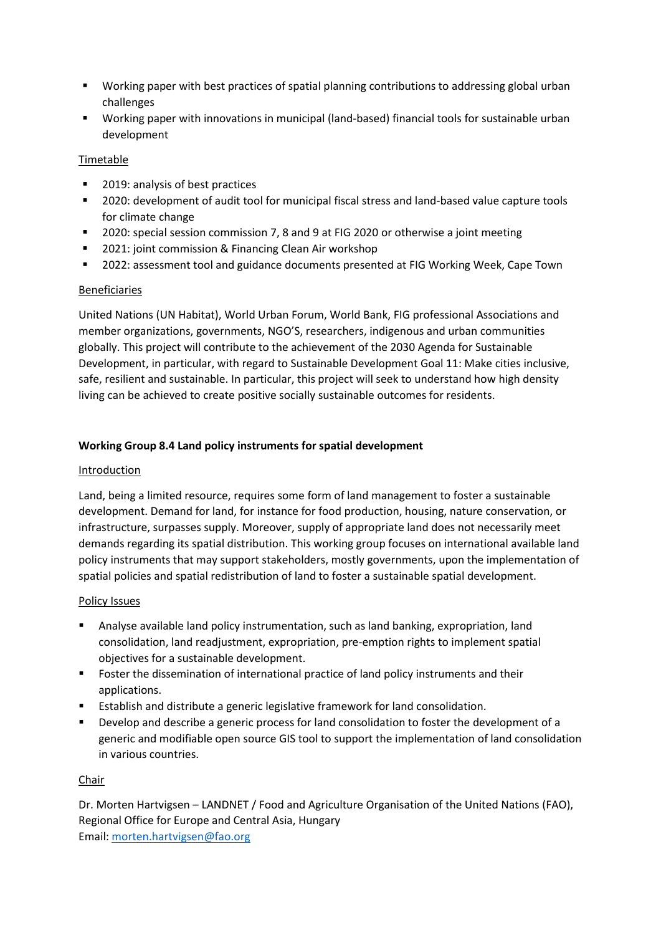- Working paper with best practices of spatial planning contributions to addressing global urban challenges
- Working paper with innovations in municipal (land-based) financial tools for sustainable urban development

## Timetable

- 2019: analysis of best practices
- 2020: development of audit tool for municipal fiscal stress and land-based value capture tools for climate change
- 2020: special session commission 7, 8 and 9 at FIG 2020 or otherwise a joint meeting
- 2021: joint commission & Financing Clean Air workshop
- 2022: assessment tool and guidance documents presented at FIG Working Week, Cape Town

# Beneficiaries

United Nations (UN Habitat), World Urban Forum, World Bank, FIG professional Associations and member organizations, governments, NGO'S, researchers, indigenous and urban communities globally. This project will contribute to the achievement of the 2030 Agenda for Sustainable Development, in particular, with regard to Sustainable Development Goal 11: Make cities inclusive, safe, resilient and sustainable. In particular, this project will seek to understand how high density living can be achieved to create positive socially sustainable outcomes for residents.

# **Working Group 8.4 Land policy instruments for spatial development**

## Introduction

Land, being a limited resource, requires some form of land management to foster a sustainable development. Demand for land, for instance for food production, housing, nature conservation, or infrastructure, surpasses supply. Moreover, supply of appropriate land does not necessarily meet demands regarding its spatial distribution. This working group focuses on international available land policy instruments that may support stakeholders, mostly governments, upon the implementation of spatial policies and spatial redistribution of land to foster a sustainable spatial development.

## Policy Issues

- Analyse available land policy instrumentation, such as land banking, expropriation, land consolidation, land readjustment, expropriation, pre-emption rights to implement spatial objectives for a sustainable development.
- Foster the dissemination of international practice of land policy instruments and their applications.
- Establish and distribute a generic legislative framework for land consolidation.
- **•** Develop and describe a generic process for land consolidation to foster the development of a generic and modifiable open source GIS tool to support the implementation of land consolidation in various countries.

## Chair

Dr. Morten Hartvigsen – LANDNET / Food and Agriculture Organisation of the United Nations (FAO), Regional Office for Europe and Central Asia, Hungary Email: [morten.hartvigsen@fao.org](mailto:morten.hartvigsen@fao.org)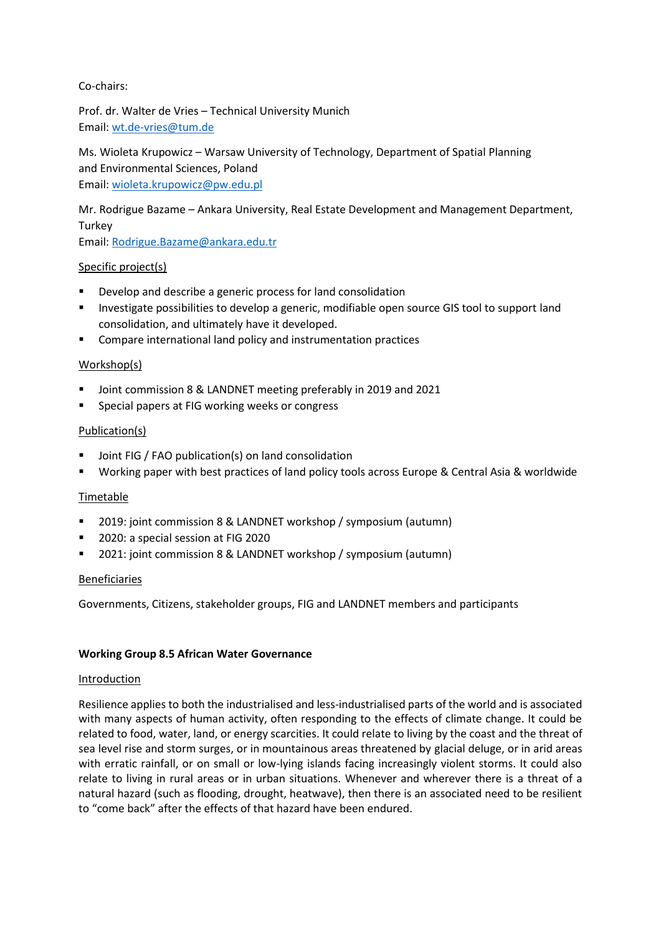## Co-chairs:

Prof. dr. Walter de Vries – Technical University Munich Email: [wt.de-vries@tum.de](mailto:wt.de-vries@tum.de)

Ms. Wioleta Krupowicz – Warsaw University of Technology, Department of Spatial Planning and Environmental Sciences, Poland Email: [wioleta.krupowicz@pw.edu.pl](mailto:wioleta.krupowicz@pw.edu.pl)

Mr. Rodrigue Bazame – Ankara University, Real Estate Development and Management Department, **Turkey** 

Email: [Rodrigue.Bazame@ankara.edu.tr](mailto:Rodrigue.Bazame@ankara.edu.tr)

### Specific project(s)

- Develop and describe a generic process for land consolidation
- Investigate possibilities to develop a generic, modifiable open source GIS tool to support land consolidation, and ultimately have it developed.
- Compare international land policy and instrumentation practices

### Workshop(s)

- Joint commission 8 & LANDNET meeting preferably in 2019 and 2021
- Special papers at FIG working weeks or congress

### Publication(s)

- Joint FIG / FAO publication(s) on land consolidation
- Working paper with best practices of land policy tools across Europe & Central Asia & worldwide

### Timetable

- 2019: joint commission 8 & LANDNET workshop / symposium (autumn)
- 2020: a special session at FIG 2020
- 2021: joint commission 8 & LANDNET workshop / symposium (autumn)

### Beneficiaries

Governments, Citizens, stakeholder groups, FIG and LANDNET members and participants

### **Working Group 8.5 African Water Governance**

### Introduction

Resilience applies to both the industrialised and less-industrialised parts of the world and is associated with many aspects of human activity, often responding to the effects of climate change. It could be related to food, water, land, or energy scarcities. It could relate to living by the coast and the threat of sea level rise and storm surges, or in mountainous areas threatened by glacial deluge, or in arid areas with erratic rainfall, or on small or low-lying islands facing increasingly violent storms. It could also relate to living in rural areas or in urban situations. Whenever and wherever there is a threat of a natural hazard (such as flooding, drought, heatwave), then there is an associated need to be resilient to "come back" after the effects of that hazard have been endured.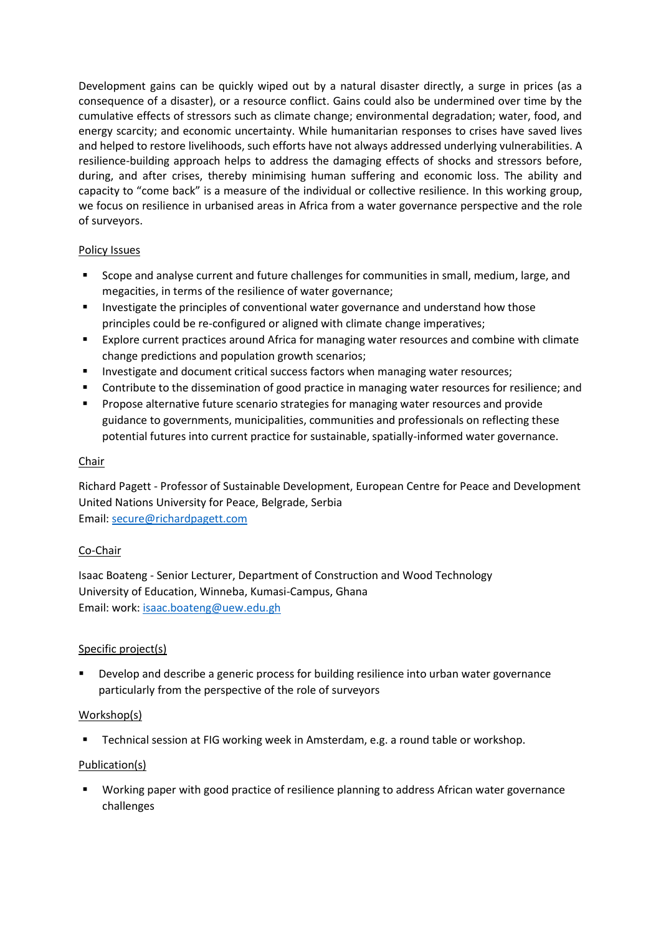Development gains can be quickly wiped out by a natural disaster directly, a surge in prices (as a consequence of a disaster), or a resource conflict. Gains could also be undermined over time by the cumulative effects of stressors such as climate change; environmental degradation; water, food, and energy scarcity; and economic uncertainty. While humanitarian responses to crises have saved lives and helped to restore livelihoods, such efforts have not always addressed underlying vulnerabilities. A resilience-building approach helps to address the damaging effects of shocks and stressors before, during, and after crises, thereby minimising human suffering and economic loss. The ability and capacity to "come back" is a measure of the individual or collective resilience. In this working group, we focus on resilience in urbanised areas in Africa from a water governance perspective and the role of surveyors.

## Policy Issues

- Scope and analyse current and future challenges for communities in small, medium, large, and megacities, in terms of the resilience of water governance;
- Investigate the principles of conventional water governance and understand how those principles could be re-configured or aligned with climate change imperatives;
- Explore current practices around Africa for managing water resources and combine with climate change predictions and population growth scenarios;
- **■** Investigate and document critical success factors when managing water resources;
- Contribute to the dissemination of good practice in managing water resources for resilience; and
- **•** Propose alternative future scenario strategies for managing water resources and provide guidance to governments, municipalities, communities and professionals on reflecting these potential futures into current practice for sustainable, spatially-informed water governance.

## Chair

Richard Pagett - Professor of Sustainable Development, European Centre for Peace and Development United Nations University for Peace, Belgrade, Serbia Email: [secure@richardpagett.com](mailto:secure@richardpagett.com)

## Co-Chair

Isaac Boateng - Senior Lecturer, Department of Construction and Wood Technology University of Education, Winneba, Kumasi-Campus, Ghana Email: work: [isaac.boateng@uew.edu.gh](mailto:isaac.boateng@uew.edu.gh)

## Specific project(s)

Develop and describe a generic process for building resilience into urban water governance particularly from the perspective of the role of surveyors

## Workshop(s)

■ Technical session at FIG working week in Amsterdam, e.g. a round table or workshop.

## Publication(s)

▪ Working paper with good practice of resilience planning to address African water governance challenges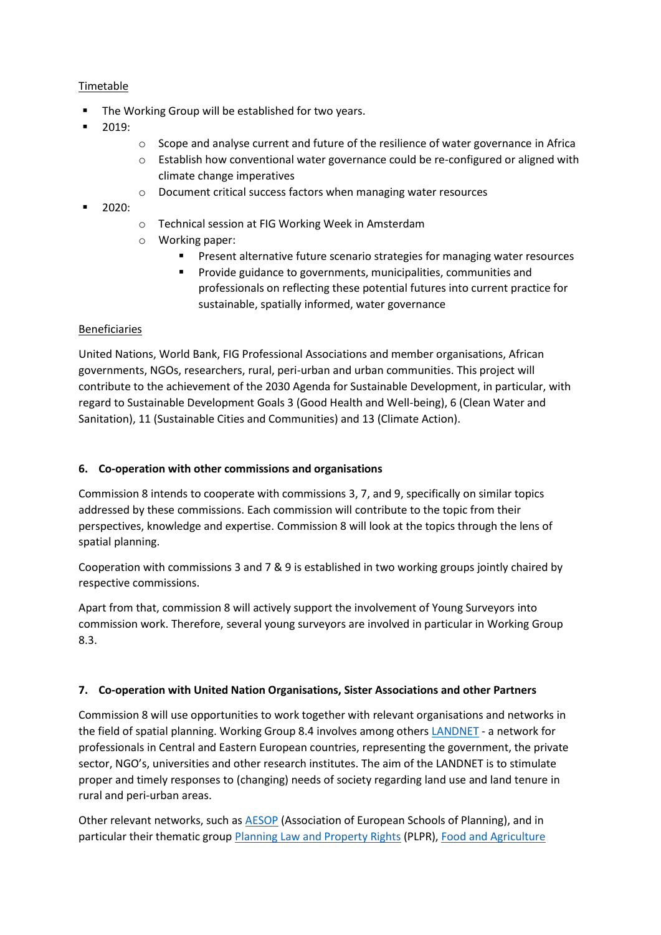## Timetable

- The Working Group will be established for two years.
- 2019:
- $\circ$  Scope and analyse current and future of the resilience of water governance in Africa
- $\circ$  Establish how conventional water governance could be re-configured or aligned with climate change imperatives
- o Document critical success factors when managing water resources
- 2020:
- o Technical session at FIG Working Week in Amsterdam
- o Working paper:
	- Present alternative future scenario strategies for managing water resources
	- **•** Provide guidance to governments, municipalities, communities and professionals on reflecting these potential futures into current practice for sustainable, spatially informed, water governance

### Beneficiaries

United Nations, World Bank, FIG Professional Associations and member organisations, African governments, NGOs, researchers, rural, peri-urban and urban communities. This project will contribute to the achievement of the 2030 Agenda for Sustainable Development, in particular, with regard to Sustainable Development Goals 3 (Good Health and Well-being), 6 (Clean Water and Sanitation), 11 (Sustainable Cities and Communities) and 13 (Climate Action).

### **6. Co-operation with other commissions and organisations**

Commission 8 intends to cooperate with commissions 3, 7, and 9, specifically on similar topics addressed by these commissions. Each commission will contribute to the topic from their perspectives, knowledge and expertise. Commission 8 will look at the topics through the lens of spatial planning.

Cooperation with commissions 3 and 7 & 9 is established in two working groups jointly chaired by respective commissions.

Apart from that, commission 8 will actively support the involvement of Young Surveyors into commission work. Therefore, several young surveyors are involved in particular in Working Group 8.3.

### **7. Co-operation with United Nation Organisations, Sister Associations and other Partners**

Commission 8 will use opportunities to work together with relevant organisations and networks in the field of spatial planning. Working Group 8.4 involves among other[s LANDNET](http://www.fao.org/europe/resources/land-tenure-workshops/en/) - a network for professionals in Central and Eastern European countries, representing the government, the private sector, NGO's, universities and other research institutes. The aim of the LANDNET is to stimulate proper and timely responses to (changing) needs of society regarding land use and land tenure in rural and peri-urban areas.

Other relevant networks, such as [AESOP](http://www.aesop-planning.eu/) (Association of European Schools of Planning), and in particular their thematic grou[p Planning Law and Property Rights](http://plpr-association.org/) (PLPR)[, Food and Agriculture](http://www.fao.org/home/en/)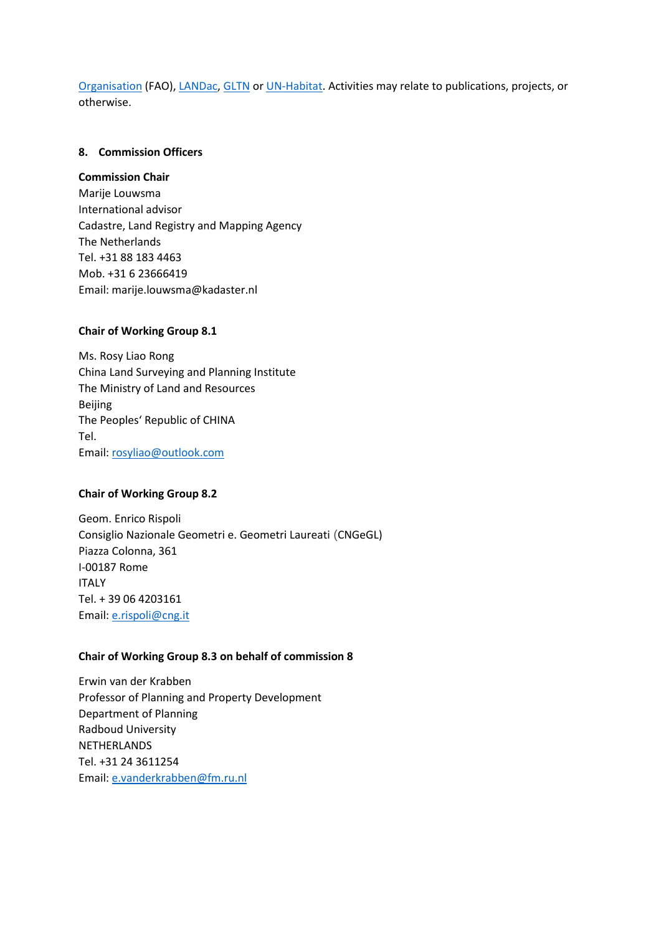[Organisation](http://www.fao.org/home/en/) (FAO), [LANDac,](http://www.landgovernance.org/) [GLTN](https://gltn.net/) or [UN-Habitat.](https://unhabitat.org/) Activities may relate to publications, projects, or otherwise.

### **8. Commission Officers**

#### **Commission Chair**

Marije Louwsma International advisor Cadastre, Land Registry and Mapping Agency The Netherlands Tel. +31 88 183 4463 Mob. +31 6 23666419 Email: marije.louwsma@kadaster.nl

### **Chair of Working Group 8.1**

Ms. Rosy Liao Rong China Land Surveying and Planning Institute The Ministry of Land and Resources Beijing The Peoples' Republic of CHINA Tel. Email: [rosyliao@outlook.com](mailto:rosyliao@outlook.com)

#### **Chair of Working Group 8.2**

Geom. Enrico Rispoli Consiglio Nazionale Geometri e. Geometri Laureati (CNGeGL) Piazza Colonna, 361 I-00187 Rome ITALY Tel. + 39 06 4203161 Email: [e.rispoli@cng.it](mailto:e.rispoli@cng.it)

#### **Chair of Working Group 8.3 on behalf of commission 8**

Erwin van der Krabben Professor of Planning and Property Development Department of Planning Radboud University NETHERLANDS Tel. +31 24 3611254 Email: [e.vanderkrabben@fm.ru.nl](mailto:e.vanderkrabben@fm.ru.nl)